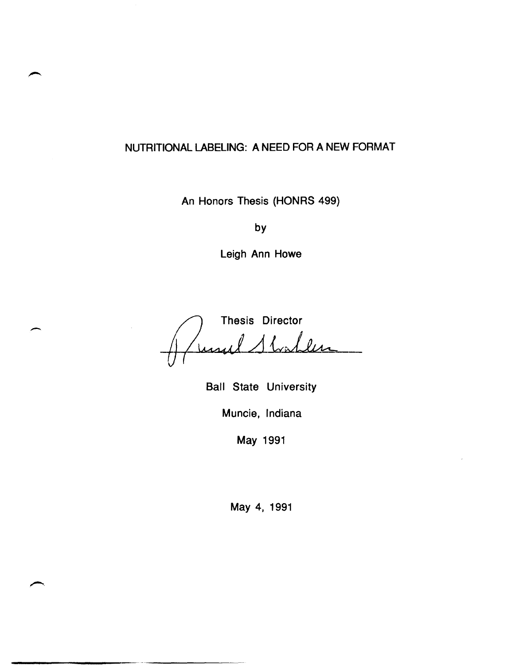# NUTRITIONAL LABELING: A NEED FOR A NEW FORMAT

An Honors Thesis (HONRS 499)

by

Leigh Ann Howe

Thesis Director ul 1 Shahlen

 $\overline{\phantom{a}}$ 

Ball State University Muncie, Indiana

May 1991

May 4, 1991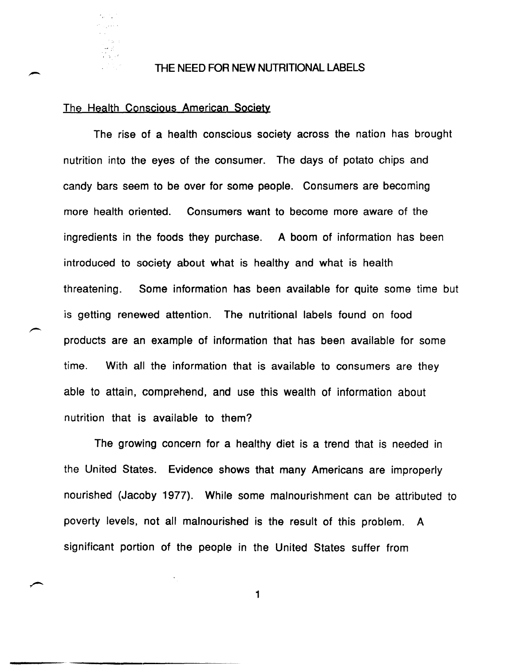

#### THE NEED FOR NEW NUTRITIONAL LABELS

#### The Health Conscious American Society

The rise of a health conscious society across the nation has brought nutrition into the eyes of the consumer. The days of potato chips and candy bars seem to be over for some people. Consumers are becoming more health oriented. Consumers want to become more aware of the ingredients in the foods they purchase. A boom of information has been introduced to society about what is healthy and what is health threatening. Some information has been available for quite some time but is getting renewed attention. The nutritional labels found on food products are an example of information that has been available for some time. With all the information that is available to consumers are they able to attain, comprehend, and use this wealth of information about nutrition that is available to them?

The growing concern for a healthy diet is a trend that is needed in the United States. Evidence shows that many Americans are improperly nourished (Jacoby 1977). While some malnourishment can be attributed to poverty levels, not all malnourished is the result of this problem. A significant portion of the people in the United States suffer from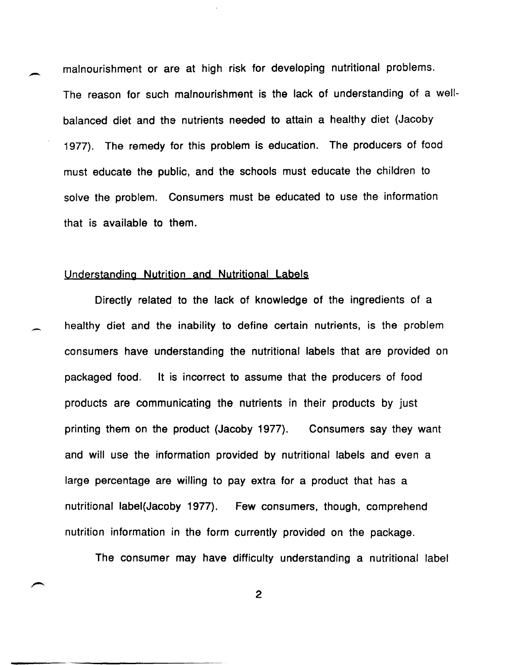malnourishment or are at high risk for developing nutritional problems. The reason for such malnourishment is the lack of understanding of a wellbalanced diet and the nutrients needed to attain a healthy diet {Jacoby 1977}. The remedy for this problem is education. The producers of food must educate the public, and the schools must educate the children to solve the problem. Consumers must be educated to use the information that is available to them.

#### Understanding Nutrition and Nutritional Labels

-

-

Directly related to the lack of knowledge of the ingredients of a healthy diet and the inability to define certain nutrients, is the problem consumers have understanding the nutritional labels that are provided on packaged food. It is incorrect to assume that the producers of food products are communicating the nutrients in their products by just printing them on the product {Jacoby 1977}. Consumers say they want and will use the information provided by nutritional labels and even a large percentage are willing to pay extra for a product that has a nutritional label{Jacoby 1977}. Few consumers, though, comprehend nutrition information in the form currently provided on the package.

The consumer may have difficulty understanding a nutritional label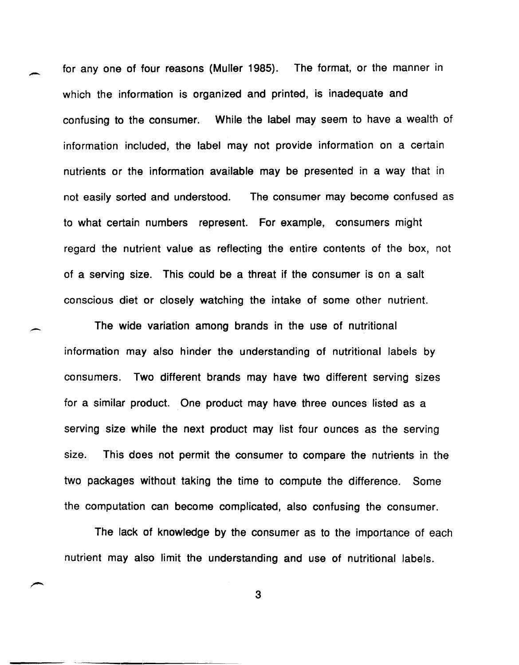for any one of four reasons (Muller 1985). The format, or the manner in which the information is organized and printed, is inadequate and confusing to the consumer. While the label may seem to have a wealth of information included, the label may not provide information on a certain nutrients or the information available may be presented in a way that in not easily sorted and understood. The consumer may become confused as to what certain numbers represent. For example, consumers might regard the nutrient value as reflecting the entire contents of the box, not of a serving size. This could be a threat if the consumer is on a salt conscious diet or closely watching the intake of some other nutrient.

-

-

The wide variation among brands in the use of nutritional information may also hinder the understanding of nutritional labels by consumers. Two different brands may have two different serving sizes for a similar product. One product may have three ounces listed as a serving size while the next product may list four ounces as the serving size. This does not permit the consumer to compare the nutrients in the two packages without taking the time to compute the difference. Some the computation can become complicated, also confusing the consumer.

The lack of knowledge by the consumer as to the importance of each nutrient may also limit the understanding and use of nutritional labels.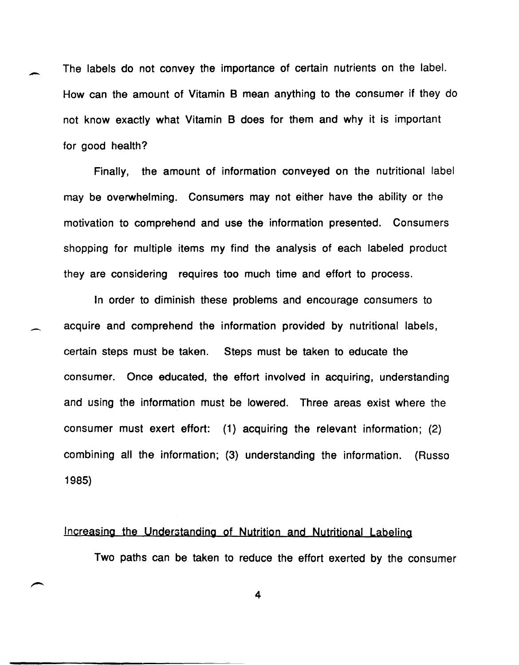The labels do not convey the importance of certain nutrients on the label. How can the amount of Vitamin B mean anything to the consumer if they do not know exactly what Vitamin B does for them and why it is important for good health?

-

-

Finally, the amount of information conveyed on the nutritional label may be overwhelming. Consumers may not either have the ability or the motivation to comprehend and use the information presented. Consumers shopping for multiple items my find the analysis of each labeled product they are considering requires too much time and effort to process.

In order to diminish these problems and encourage consumers to acquire and comprehend the information provided by nutritional labels, certain steps must be taken. Steps must be taken to educate the consumer. Once educated, the effort involved in acquiring, understanding and using the information must be lowered. Three areas exist where the consumer must exert effort: (1) acquiring the relevant information; (2) combining all the information; (3) understanding the information. (Russo 1985)

### Increasing the Understanding of Nutrition and Nutritional Labeling

Two paths can be taken to reduce the effort exerted by the consumer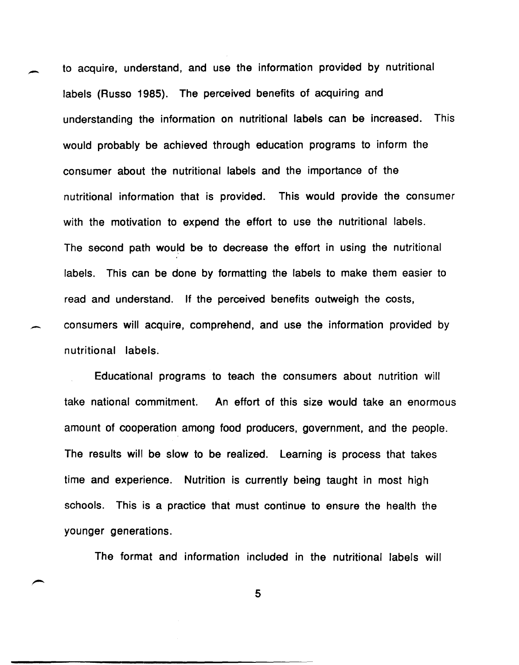to acquire, understand, and use the information provided by nutritional labels (Russo 1985). The perceived benefits of acquiring and understanding the information on nutritional labels can be increased. This would probably be achieved through education programs to inform the consumer about the nutritional labels and the importance of the nutritional information that is provided. This would provide the consumer with the motivation to expend the effort to use the nutritional labels. The second path would be to decrease the effort in using the nutritional labels. This can be done by formatting the labels to make them easier to read and understand. If the perceived benefits outweigh the costs, consumers will acquire, comprehend, and use the information provided by nutritional labels.

-

-

Educational programs to teach the consumers about nutrition will take national commitment. An effort of this size would take an enormous amount of cooperation among food producers, government, and the people. The results will be slow to be realized. Learning is process that takes time and experience. Nutrition is currently being taught in most high schools. This is a practice that must continue to ensure the health the younger generations.

The format and information included in the nutritional labels will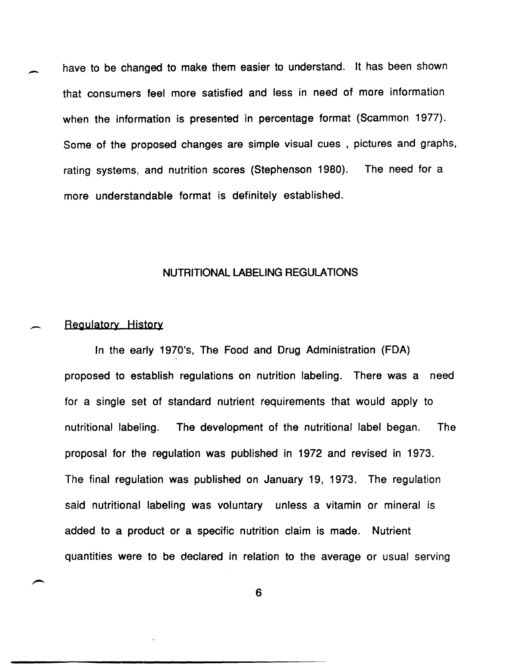have to be changed to make them easier to understand. It has been shown that consumers feel more satisfied and less in need of more information when the information is presented in percentage format (Scammon 1977). Some of the proposed changes are simple visual cues, pictures and graphs, rating systems, and nutrition scores (Stephenson 1980). The need for a more understandable format is definitely established.

#### NUTRITIONAL LABELING REGULATIONS

#### Regulatory History

In the early 1970's, The Food and Drug Administration (FDA) proposed to establish regulations on nutrition labeling. There was a need for a single set of standard nutrient requirements that would apply to nutritional labeling. The development of the nutritional label began. The proposal for the regulation was published in 1972 and revised in 1973. The final regulation was published on January 19, 1973. The regulation said nutritional labeling was voluntary unless a vitamin or mineral is added to a product or a specific nutrition claim is made. Nutrient quantities were to be declared in relation to the average or usual serving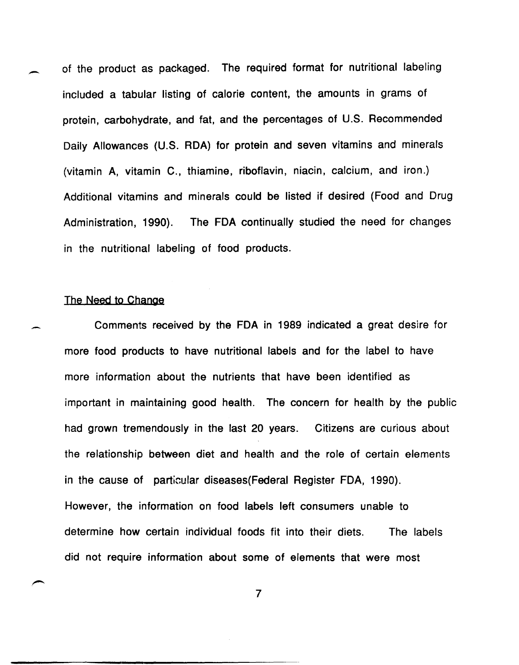of the product as packaged. The required format for nutritional labeling included a tabular listing of calorie content, the amounts in grams of protein, carbohydrate, and fat, and the percentages of U.S. Recommended Daily Allowances (U.S. RDA) for protein and seven vitamins and minerals (vitamin A, vitamin C., thiamine, riboflavin, niacin, calcium, and iron.) Additional vitamins and minerals could be listed if desired (Food and Drug Administration, 1990). The FDA continually studied the need for changes in the nutritional labeling of food products.

#### The Need to Change

--

-

Comments received by the FDA in 1989 indicated a great desire for more food products to have nutritional labels and for the label to have more information about the nutrients that have been identified as important in maintaining good health. The concern for health by the public had grown tremendously in the last 20 years. Citizens are curious about the relationship between diet and health and the role of certain elements in the cause of particular diseases{Federal Register FDA, 1990). However, the information on food labels left consumers unable to determine how certain individual foods fit into their diets. The labels did not require information about some of elements that were most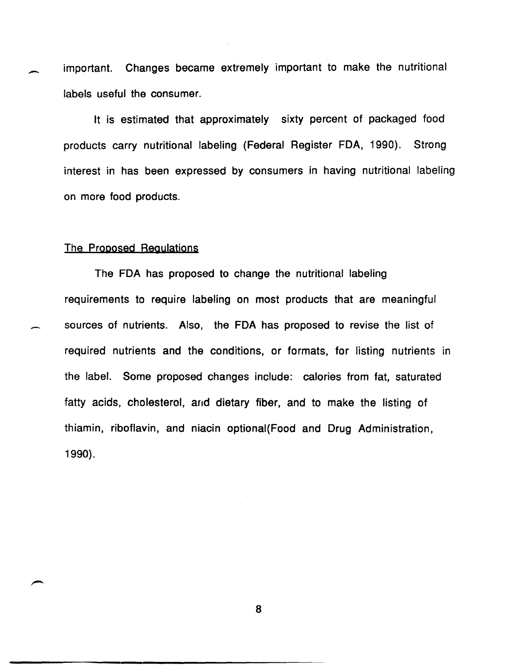important. Changes became extremely important to make the nutritional labels useful the consumer.

It is estimated that approximately sixty percent of packaged food products carry nutritional labeling (Federal Register FDA, 1990). Strong interest in has been expressed by consumers in having nutritional labeling on more food products.

#### The Proposed Regulations

The FDA has proposed to change the nutritional labeling requirements to require labeling on most products that are meaningful sources of nutrients. Also, the FDA has proposed to revise the list of required nutrients and the conditions, or formats, for listing nutrients in the label. Some proposed changes include: calories from fat, saturated fatty acids, cholesterol, and dietary fiber, and to make the listing of thiamin, riboflavin, and niacin optional{Food and Drug Administration, 1990).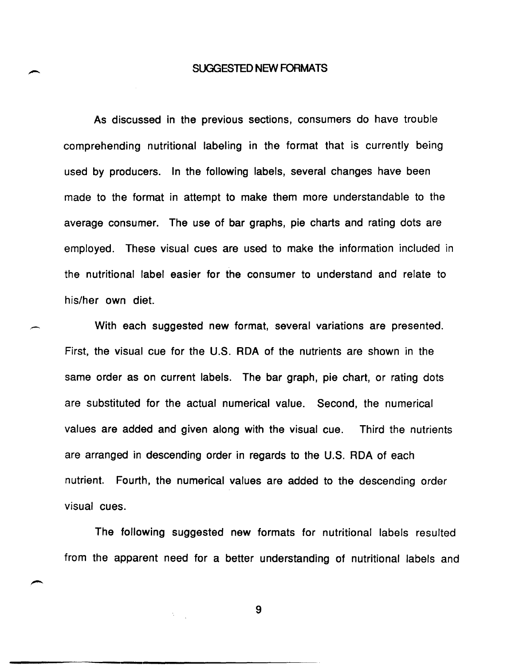#### SUGGESTED NEW FORMATS

As discussed in the previous sections, consumers do have trouble comprehending nutritional labeling in the format that is currently being used by producers. In the following labels, several changes have been made to the format in attempt to make them more understandable to the average consumer. The use of bar graphs, pie charts and rating dots are employed. These visual cues are used to make the information included in the nutritional label easier for the consumer to understand and relate to his/her own diet.

With each suggested new format, several variations are presented. First, the visual cue for the U.S. RDA of the nutrients are shown in the same order as on current labels. The bar graph, pie chart, or rating dots are substituted for the actual numerical value. Second, the numerical values are added and given along with the visual cue. Third the nutrients are arranged in descending order in regards to the U.S. RDA of each nutrient. Fourth, the numerical values are added to the descending order visual cues.

The following suggested new formats for nutritional labels resulted from the apparent need for a better understanding of nutritional labels and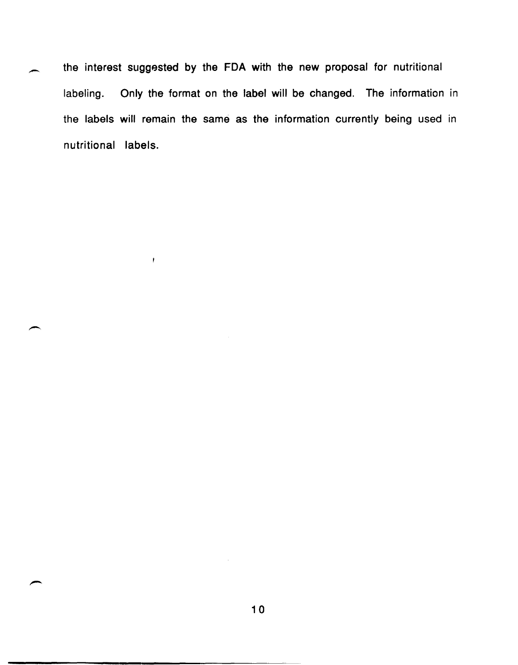the interest suggested by the FDA with the new proposal for nutritional labeling. Only the format on the label will be changed. The information in the labels will remain the same as the information currently being used in nutritional labels.

 $\bar{r}$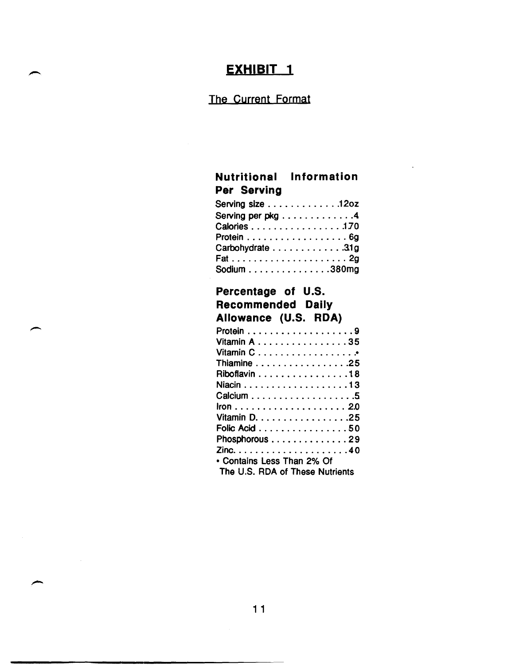## The Current Format

## **Nutritional Information Per Serving**

| Serving size $\ldots \ldots \ldots \ldots 120z$ |  |
|-------------------------------------------------|--|
| Serving per pkg 4                               |  |
| Calories 170                                    |  |
| Protein 6g                                      |  |
| Carbohydrate 31g                                |  |
|                                                 |  |
| Sodium $\ldots \ldots \ldots \ldots 380$ mg     |  |
|                                                 |  |

# **Percentage of U.S. Recommended Daily Allowance** (U.S. **RDA)**

-

 $\mathcal{L}^{\text{max}}_{\text{max}}$ 

| Vitamin A 35                    |  |
|---------------------------------|--|
|                                 |  |
| Thiamine 25                     |  |
| Riboflavin 18                   |  |
|                                 |  |
|                                 |  |
|                                 |  |
| Vitamin D. 25                   |  |
| Folic Acid 50                   |  |
| Phosphorous 29                  |  |
|                                 |  |
| • Contains Less Than 2% Of      |  |
| The U.S. RDA of These Nutrients |  |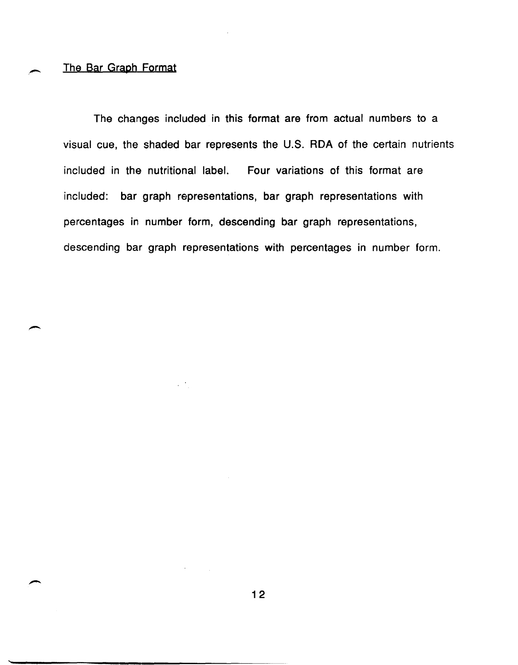#### The Bar Graph Format

The changes included in this format are from actual numbers to a visual cue, the shaded bar represents the U.S. RDA of the certain nutrients included in the nutritional label. Four variations of this format are included: bar graph representations, bar graph representations with percentages in number form, descending bar graph representations, descending bar graph representations with percentages in number form.

 $\mathcal{L}^{\text{max}}$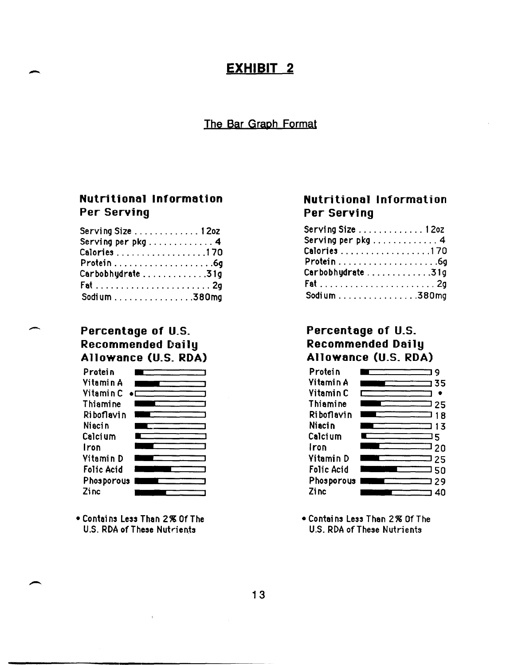#### The Bar Graph Format

### **Nutritional Information Per Serving**

| Serving Size $\dots\dots\dots\dots$ 1202 |  |
|------------------------------------------|--|
| Serving per pkg 4                        |  |
| Calories 170                             |  |
|                                          |  |
| Carbobhydrate31g                         |  |
|                                          |  |
| Sodium 380mg                             |  |

#### Percentage of U.S. **Recommended Daily** Allowance (U.S. RDA)



• Contains Less Than 2% Of The U.S. RDA of These Nutrients

### **Nutritional Information** Per Serving

| $\texttt{Serving Size}\dots\dots\dots\dots\texttt{120Z}$ |  |
|----------------------------------------------------------|--|
| Serving per p $kg$ 4                                     |  |
| Calories 170                                             |  |
|                                                          |  |
| Carbobhydrate 31g                                        |  |
|                                                          |  |
| Sodium 380mg                                             |  |

### Percentage of U.S. **Recommended Daily** Allowance (U.S. RDA)



• Contains Less Than 2% Of The U.S. RDA of These Nutrients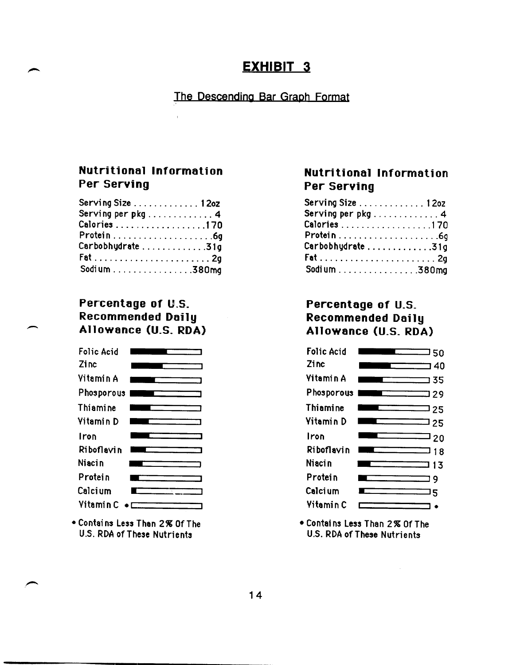# The Descending Bar Graph Format

### **Nutritional Information Per Serving**

| Serving Size $\dots\dots\dots\dots$ 120z |  |
|------------------------------------------|--|
| Serving per pkg 4                        |  |
| Calories 170                             |  |
|                                          |  |
| Carbobhydrate31g                         |  |
|                                          |  |
| Sodium 380mg                             |  |

### Percentage of U.S. **Recommended Daily** Allowance (U.S. RDA)



• Contains Less Than 2% Of The U.S. RDA of These Nutrients

# **Nutritional Information Per Serving**

| Serving Size 12oz                   |  |
|-------------------------------------|--|
| Serving per pkg $\dots\dots\dots$ 4 |  |
| Calories 170                        |  |
|                                     |  |
| Carbobhydrate31g                    |  |
|                                     |  |
| Sodium 380mg                        |  |

### Percentage of U.S. **Recommended Daily** Allowance (U.S. RDA)



• Contains Less Than 2% Of The U.S. RDA of These Nutrients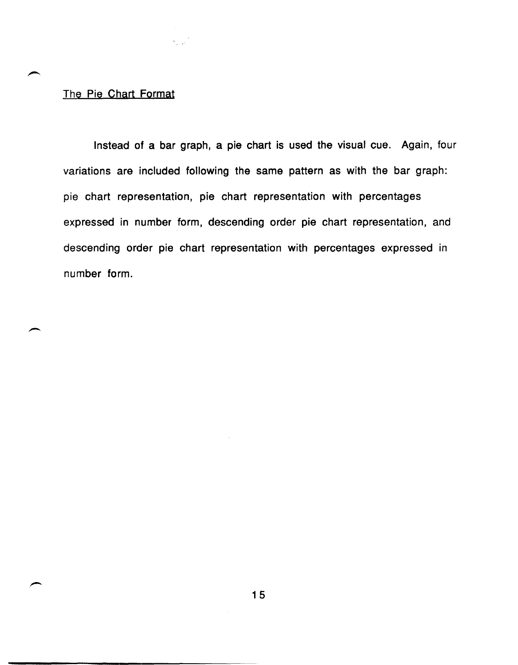#### The Pie Chart Format

Instead of a bar graph, a pie chart is used the visual cue. Again, four variations are included following the same pattern as with the bar graph: pie chart representation, pie chart representation with percentages expressed in number form, descending order pie chart representation, and descending order pie chart representation with percentages expressed in number form.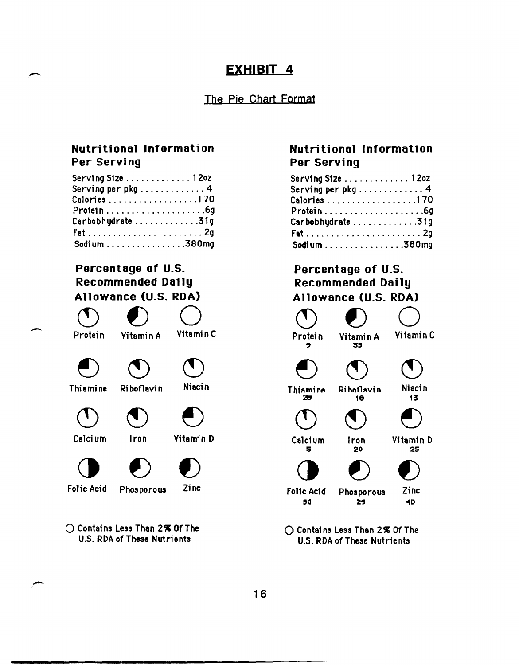# The Pie Chart Format

### **Nutritional Information Per Serving**

| Serving Size $\dots\dots\dots\dots$ 1202                  |  |
|-----------------------------------------------------------|--|
| Serving per pkg 4                                         |  |
| Calories 170                                              |  |
| $Protein \ldots \ldots \ldots \ldots \ldots .6g$          |  |
| Carbobhydrate31g                                          |  |
| $Fat \ldots \ldots \ldots \ldots \ldots \ldots \ldots 2g$ |  |
| Sodium 380mg                                              |  |

# Percentage of U.S. **Recommended Daily** Allowance (U.S. RDA)

Protein **Yitamin C Yitamin A** Niacin Thiamine Riboflavin **Yitamin D** Calcium Iron Zinc **Folic Acid** Phosporous

◯ Contains Less Than 2% Of The U.S. RDA of These Nutrients

# **Nutritional Information** Per Serving

| Serving Size $\dots\dots\dots\dots$ 120z               |  |
|--------------------------------------------------------|--|
|                                                        |  |
| Calories 170                                           |  |
| $Protein \ldots \ldots \ldots \ldots \ldots \ldots 6g$ |  |
| Carbobhydrate31g                                       |  |
|                                                        |  |
| Sodium 380 $mg$                                        |  |

# Percentage of U.S. Recommended Daily Allowance (U.S. RDA)



◯ Contains Less Than 2% Of The U.S. RDA of These Nutrients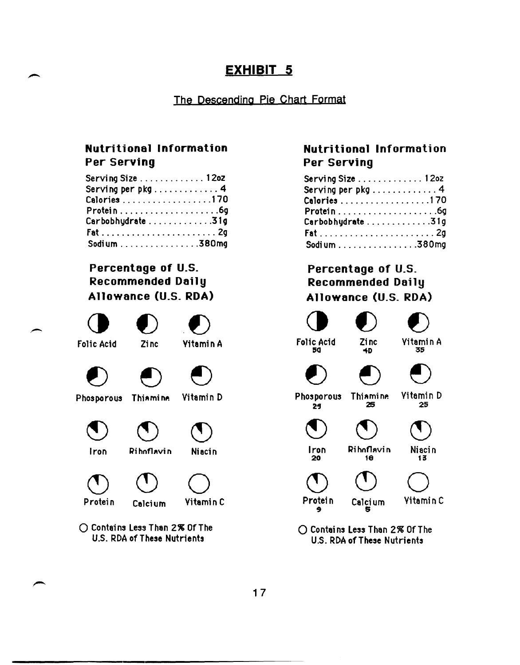### The Descending Pie Chart Format

# **Nutritional Information Per Serving**

| Serving Size $\dots\dots\dots\dots$ 12oz               |  |
|--------------------------------------------------------|--|
| Serving per $pkg$ 4                                    |  |
| Calories 170                                           |  |
| $Protein \ldots \ldots \ldots \ldots \ldots \ldots 69$ |  |
| Carbobhydrate31g                                       |  |
|                                                        |  |
| Sodium 380mg                                           |  |

# **Percentage of** U.S. **Recommended Daily Allowance** (U.S. **ROA)**



 $\bigcap$  Contains Less Than 2% Of The U.S. RDA of These Nutrients

## **Nutritional Information Per Serving**

| Serving Size $\dots \dots \dots \dots 12$ 02            |  |
|---------------------------------------------------------|--|
| Serving per pkg4                                        |  |
| Calories 170                                            |  |
| $Protein \ldots \ldots \ldots \ldots \ldots \ldots .6g$ |  |
| Carbobhydrate31g                                        |  |
|                                                         |  |
| Sodium 380mg                                            |  |

# **Percentage of** U.S. **Recommended Oai 1 y Allowance** (U.S. **ROA)**



 $\bigcap$  Contains Less Than 2% Of The U.S. RDA of These Nutrients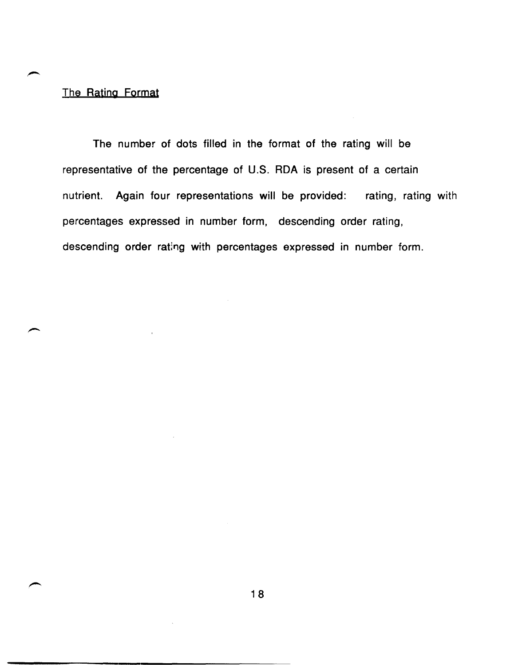### The Rating Format

The number of dots filled in the format of the rating will be representative of the percentage of U.S. RDA is present of a certain nutrient. Again four representations will be provided: rating, rating with percentages expressed in number form, descending order rating, descending order rating with percentages expressed in number form.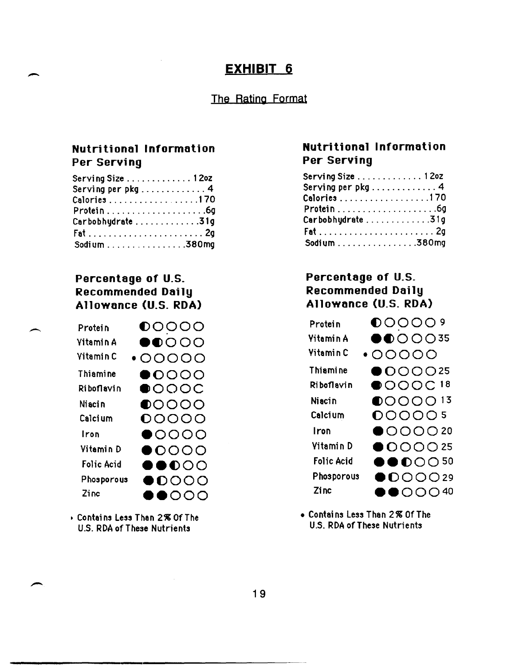#### The Rating Format

## **Nutritional Information Per Serving**

| Serving Size $\dots \dots \dots \dots 12$ oz            |  |
|---------------------------------------------------------|--|
|                                                         |  |
| Calories170                                             |  |
| $Protein \ldots \ldots \ldots \ldots \ldots \ldots .6g$ |  |
| Carbobhydrate31g                                        |  |
|                                                         |  |
| Sodium 380mg                                            |  |

## Percentage of U.S. **Recommended Daily** Allowance (U.S. RDA)



Contains Less Than 2% Of The U.S. RDA of These Nutrients

### **Nutritional Information** Per Serving

| Serving Size 1 2oz                               |  |
|--------------------------------------------------|--|
| Serving per p $kg \ldots \ldots \ldots \ldots 4$ |  |
| Calories 1 70                                    |  |
|                                                  |  |
| Carbobhydrate31g                                 |  |
|                                                  |  |
| Sodium 380mg                                     |  |

# Percentage of U.S. **Recommended Daily** Allowance (U.S. RDA)



• Contains Less Than 2% Of The U.S. RDA of These Nutrients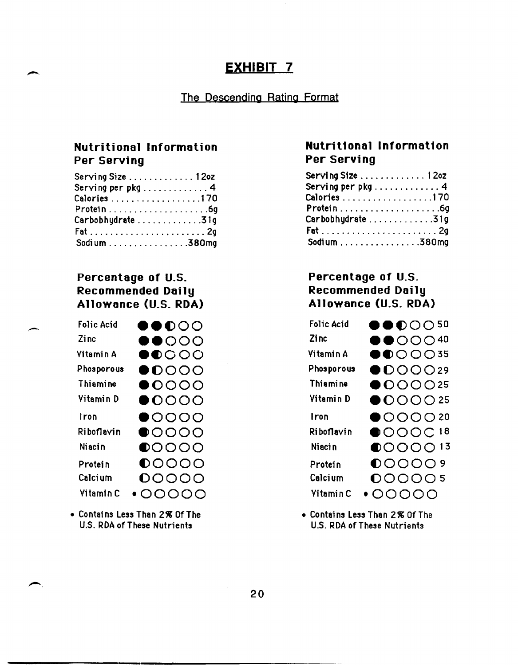# EXHIBIT<sub>7</sub>

## The Descending Rating Format

# **Nutritional Information** Per Serving

| $S$ erving Size $\dots\dots\dots\dots$ 12oz                    |  |
|----------------------------------------------------------------|--|
| Serving per pkg 4                                              |  |
| Calories 170                                                   |  |
| Protein $\ldots \ldots \ldots \ldots \ldots \ldots \ldots$ .69 |  |
| Carbobhydrate31g                                               |  |
|                                                                |  |
| Sodium 380mg                                                   |  |

# Percentage of U.S. Recommended Daily Allowance (U.S. RDA)

| Folic Acid       | $\bullet\bullet\circ\circ\circ$     |
|------------------|-------------------------------------|
| Zinc             | $\bullet$ $\bullet$ $\circ$ $\circ$ |
| Vitamin A        | $\bullet$ $\circ$ $\circ$ $\circ$   |
| Phosporous       | $\bullet$ 0000                      |
| Thiamine         | $\bullet$ 0000                      |
| Vitamin D        | $\bullet$ 0000                      |
| Iron             | $\bullet$ 0000                      |
| Riboflavin       | $\bullet$ 0000                      |
| <b>Niacin</b>    | $\bigcirc$ 0000                     |
| Protein          | $\mathbf{0}$ 0000                   |
| Calcium          | 00000                               |
| <b>Yitamin C</b> | 00000                               |

• Contains Less Than 2% Of The U.S. RDA of These Nutrients

# **Nutritional Information** Per Serving

| Serving Size $\dots\dots\dots\dots$ 120z |  |
|------------------------------------------|--|
| Serving per pkg 4                        |  |
| Calories 170                             |  |
|                                          |  |
| Carbobhydrate 31g                        |  |
|                                          |  |
| Sodium 380mg                             |  |

# Percentage of U.S. Recommended Daily Allowance (U.S. RDA)

| <b>Folic Acid</b> | $\bullet\bullet$ 0 0 0 50                           |
|-------------------|-----------------------------------------------------|
|                   |                                                     |
| Zi nc             | $\bullet$ $\bullet$ $\circ$ $\circ$ $\circ$ $^{40}$ |
| Vitamin A         | $\bigcirc$ O O O 35                                 |
| Phosporous        | $\bigcirc$ DOOO29                                   |
| <b>Thiamine</b>   | $\bigcirc$ OOO25                                    |
| Vitamin D         | $\bigcirc$ OOO 25                                   |
| Iron              | $\bigcirc$ OOO 20                                   |
| Riboflavin        | $\bigcirc$ OOOC18                                   |
| Niaci n           | $\bigcirc$ OOO 13                                   |
| Protein           | $\bigcirc$ OOOO 9                                   |
| Calcium           | 000005                                              |
| Vitamin C         | $\cdot$ 00000                                       |

• Contains Less Than 2% Of The U.S. RDA of These Nutrients